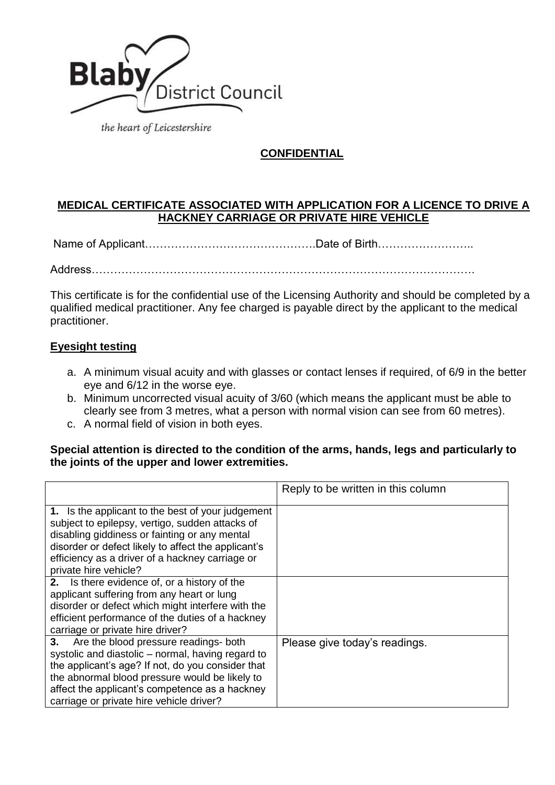

the heart of Leicestershire

# **CONFIDENTIAL**

## **MEDICAL CERTIFICATE ASSOCIATED WITH APPLICATION FOR A LICENCE TO DRIVE A HACKNEY CARRIAGE OR PRIVATE HIRE VEHICLE**

Name of Applicant……………………………………….Date of Birth……………………..

Address………………………………………………………………………………………….

This certificate is for the confidential use of the Licensing Authority and should be completed by a qualified medical practitioner. Any fee charged is payable direct by the applicant to the medical practitioner.

## **Eyesight testing**

- a. A minimum visual acuity and with glasses or contact lenses if required, of 6/9 in the better eye and 6/12 in the worse eye.
- b. Minimum uncorrected visual acuity of 3/60 (which means the applicant must be able to clearly see from 3 metres, what a person with normal vision can see from 60 metres).
- c. A normal field of vision in both eyes.

#### **Special attention is directed to the condition of the arms, hands, legs and particularly to the joints of the upper and lower extremities.**

|                                                                                                                                                                                                                                                                                                       | Reply to be written in this column |
|-------------------------------------------------------------------------------------------------------------------------------------------------------------------------------------------------------------------------------------------------------------------------------------------------------|------------------------------------|
| 1. Is the applicant to the best of your judgement<br>subject to epilepsy, vertigo, sudden attacks of<br>disabling giddiness or fainting or any mental<br>disorder or defect likely to affect the applicant's<br>efficiency as a driver of a hackney carriage or<br>private hire vehicle?              |                                    |
| 2. Is there evidence of, or a history of the<br>applicant suffering from any heart or lung<br>disorder or defect which might interfere with the<br>efficient performance of the duties of a hackney<br>carriage or private hire driver?                                                               |                                    |
| Are the blood pressure readings- both<br>3.<br>systolic and diastolic - normal, having regard to<br>the applicant's age? If not, do you consider that<br>the abnormal blood pressure would be likely to<br>affect the applicant's competence as a hackney<br>carriage or private hire vehicle driver? | Please give today's readings.      |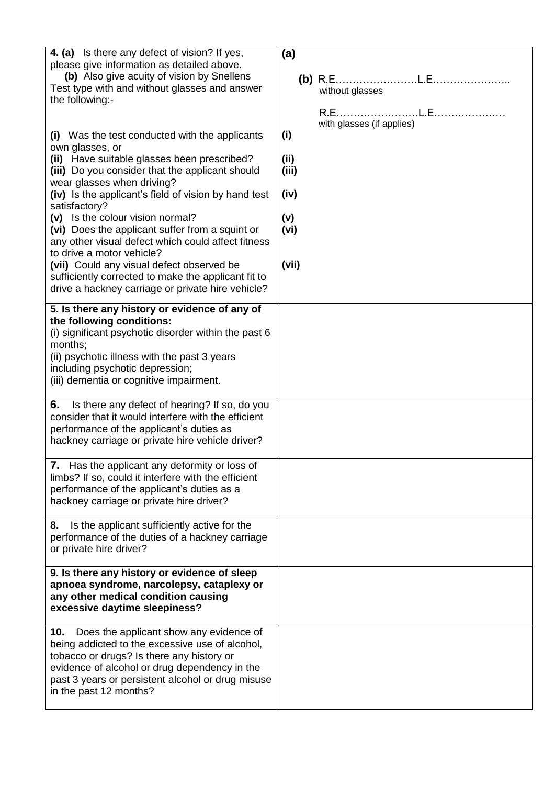| 4. (a) Is there any defect of vision? If yes,<br>please give information as detailed above.<br>(b) Also give acuity of vision by Snellens<br>Test type with and without glasses and answer<br>the following:-                                                                  | (a)<br>without glasses           |
|--------------------------------------------------------------------------------------------------------------------------------------------------------------------------------------------------------------------------------------------------------------------------------|----------------------------------|
|                                                                                                                                                                                                                                                                                |                                  |
| (i) Was the test conducted with the applicants<br>own glasses, or                                                                                                                                                                                                              | with glasses (if applies)<br>(i) |
| (ii) Have suitable glasses been prescribed?<br>(iii) Do you consider that the applicant should                                                                                                                                                                                 | (ii)<br>(iii)                    |
| wear glasses when driving?<br>(iv) Is the applicant's field of vision by hand test<br>satisfactory?                                                                                                                                                                            | (iv)                             |
| (v) Is the colour vision normal?<br>(vi) Does the applicant suffer from a squint or<br>any other visual defect which could affect fitness                                                                                                                                      | (v)<br>(vi)                      |
| to drive a motor vehicle?<br>(vii) Could any visual defect observed be<br>sufficiently corrected to make the applicant fit to                                                                                                                                                  | (vii)                            |
| drive a hackney carriage or private hire vehicle?                                                                                                                                                                                                                              |                                  |
| 5. Is there any history or evidence of any of<br>the following conditions:<br>(i) significant psychotic disorder within the past 6                                                                                                                                             |                                  |
| months;<br>(ii) psychotic illness with the past 3 years<br>including psychotic depression;<br>(iii) dementia or cognitive impairment.                                                                                                                                          |                                  |
|                                                                                                                                                                                                                                                                                |                                  |
| 6.<br>Is there any defect of hearing? If so, do you<br>consider that it would interfere with the efficient<br>performance of the applicant's duties as<br>hackney carriage or private hire vehicle driver?                                                                     |                                  |
| 7. Has the applicant any deformity or loss of<br>limbs? If so, could it interfere with the efficient<br>performance of the applicant's duties as a<br>hackney carriage or private hire driver?                                                                                 |                                  |
| Is the applicant sufficiently active for the<br>8.<br>performance of the duties of a hackney carriage<br>or private hire driver?                                                                                                                                               |                                  |
| 9. Is there any history or evidence of sleep<br>apnoea syndrome, narcolepsy, cataplexy or<br>any other medical condition causing<br>excessive daytime sleepiness?                                                                                                              |                                  |
| Does the applicant show any evidence of<br>10.<br>being addicted to the excessive use of alcohol,<br>tobacco or drugs? Is there any history or<br>evidence of alcohol or drug dependency in the<br>past 3 years or persistent alcohol or drug misuse<br>in the past 12 months? |                                  |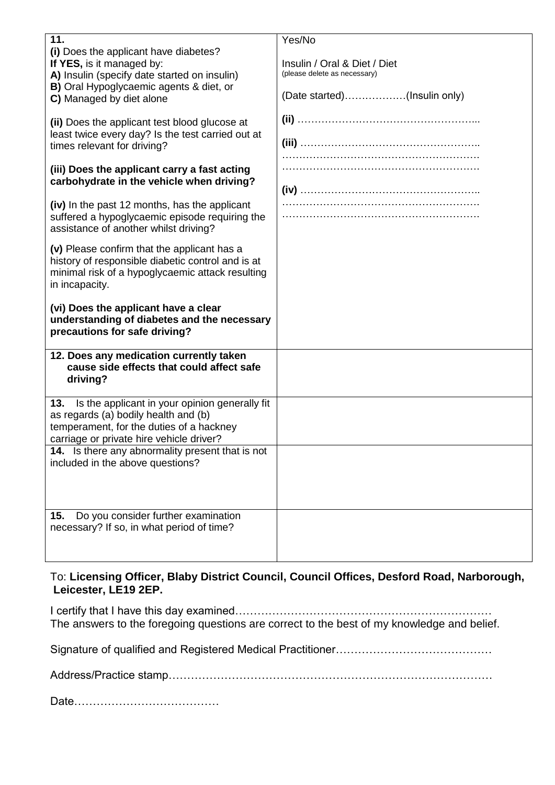| 11.                                                                                                                                                                                       | Yes/No                                                                                       |
|-------------------------------------------------------------------------------------------------------------------------------------------------------------------------------------------|----------------------------------------------------------------------------------------------|
| (i) Does the applicant have diabetes?<br>If YES, is it managed by:<br>A) Insulin (specify date started on insulin)<br>B) Oral Hypoglycaemic agents & diet, or<br>C) Managed by diet alone | Insulin / Oral & Diet / Diet<br>(please delete as necessary)<br>(Date started)(Insulin only) |
| (ii) Does the applicant test blood glucose at<br>least twice every day? Is the test carried out at<br>times relevant for driving?                                                         |                                                                                              |
| (iii) Does the applicant carry a fast acting<br>carbohydrate in the vehicle when driving?                                                                                                 |                                                                                              |
| (iv) In the past 12 months, has the applicant<br>suffered a hypoglycaemic episode requiring the<br>assistance of another whilst driving?                                                  |                                                                                              |
| (v) Please confirm that the applicant has a<br>history of responsible diabetic control and is at<br>minimal risk of a hypoglycaemic attack resulting<br>in incapacity.                    |                                                                                              |
|                                                                                                                                                                                           |                                                                                              |
| (vi) Does the applicant have a clear<br>understanding of diabetes and the necessary<br>precautions for safe driving?                                                                      |                                                                                              |
| 12. Does any medication currently taken<br>cause side effects that could affect safe<br>driving?                                                                                          |                                                                                              |
| Is the applicant in your opinion generally fit<br>13.<br>as regards (a) bodily health and (b)<br>temperament, for the duties of a hackney<br>carriage or private hire vehicle driver?     |                                                                                              |
| 14. Is there any abnormality present that is not<br>included in the above questions?                                                                                                      |                                                                                              |

To: **Licensing Officer, Blaby District Council, Council Offices, Desford Road, Narborough, Leicester, LE19 2EP.** 

I certify that I have this day examined…………………………………………………………… The answers to the foregoing questions are correct to the best of my knowledge and belief.

Signature of qualified and Registered Medical Practitioner……………………………………

Address/Practice stamp……………………………………………………………………………

Date…………………………………